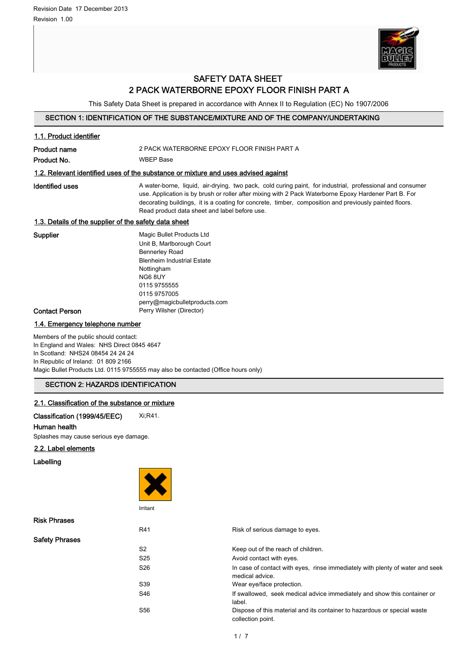

# SAFETY DATA SHEET 2 PACK WATERBORNE EPOXY FLOOR FINISH PART A

This Safety Data Sheet is prepared in accordance with Annex II to Regulation (EC) No 1907/2006

# SECTION 1: IDENTIFICATION OF THE SUBSTANCE/MIXTURE AND OF THE COMPANY/UNDERTAKING

| 1.1. Product identifier                                                                                                                                         |                                                                                                                                                                                                                                                                                                                                                                               |  |  |
|-----------------------------------------------------------------------------------------------------------------------------------------------------------------|-------------------------------------------------------------------------------------------------------------------------------------------------------------------------------------------------------------------------------------------------------------------------------------------------------------------------------------------------------------------------------|--|--|
| <b>Product name</b>                                                                                                                                             | 2 PACK WATERBORNE EPOXY FLOOR FINISH PART A                                                                                                                                                                                                                                                                                                                                   |  |  |
| Product No.                                                                                                                                                     | <b>WBEP Base</b>                                                                                                                                                                                                                                                                                                                                                              |  |  |
|                                                                                                                                                                 | 1.2. Relevant identified uses of the substance or mixture and uses advised against                                                                                                                                                                                                                                                                                            |  |  |
| <b>Identified uses</b>                                                                                                                                          | A water-borne, liquid, air-drying, two pack, cold curing paint, for industrial, professional and consumer<br>use. Application is by brush or roller after mixing with 2 Pack Waterborne Epoxy Hardener Part B. For<br>decorating buildings, it is a coating for concrete, timber, composition and previously painted floors.<br>Read product data sheet and label before use. |  |  |
| 1.3. Details of the supplier of the safety data sheet                                                                                                           |                                                                                                                                                                                                                                                                                                                                                                               |  |  |
| Supplier<br><b>Contact Person</b>                                                                                                                               | Magic Bullet Products Ltd<br>Unit B, Marlborough Court<br><b>Bennerley Road</b><br><b>Blenheim Industrial Estate</b><br>Nottingham<br>NG68UY<br>0115 9755555<br>0115 9757005<br>perry@magicbulletproducts.com<br>Perry Wilsher (Director)                                                                                                                                     |  |  |
| 1.4. Emergency telephone number                                                                                                                                 |                                                                                                                                                                                                                                                                                                                                                                               |  |  |
| Members of the public should contact:<br>In England and Wales: NHS Direct 0845 4647<br>In Scotland: NHS24 08454 24 24 24<br>In Republic of Ireland: 01 809 2166 | Magic Bullet Products Ltd. 0115 9755555 may also be contacted (Office hours only)                                                                                                                                                                                                                                                                                             |  |  |
| <b>SECTION 2: HAZARDS IDENTIFICATION</b>                                                                                                                        |                                                                                                                                                                                                                                                                                                                                                                               |  |  |
| 2.1. Classification of the substance or mixture                                                                                                                 |                                                                                                                                                                                                                                                                                                                                                                               |  |  |
| Classification (1999/45/EEC)<br>Human health<br>Splashes may cause serious eye damage.                                                                          | Xi, R41.                                                                                                                                                                                                                                                                                                                                                                      |  |  |
| 2.2. Label elements                                                                                                                                             |                                                                                                                                                                                                                                                                                                                                                                               |  |  |
| Labelling                                                                                                                                                       |                                                                                                                                                                                                                                                                                                                                                                               |  |  |
|                                                                                                                                                                 | Irritant                                                                                                                                                                                                                                                                                                                                                                      |  |  |

| <b>Risk Phrases</b>   |                 |                                                                                                  |
|-----------------------|-----------------|--------------------------------------------------------------------------------------------------|
|                       | R41             | Risk of serious damage to eyes.                                                                  |
| <b>Safety Phrases</b> |                 |                                                                                                  |
|                       | S <sub>2</sub>  | Keep out of the reach of children.                                                               |
|                       | S <sub>25</sub> | Avoid contact with eyes.                                                                         |
|                       | S <sub>26</sub> | In case of contact with eyes, rinse immediately with plenty of water and seek<br>medical advice. |
|                       | S39             | Wear eye/face protection.                                                                        |
|                       | S46             | If swallowed, seek medical advice immediately and show this container or<br>label.               |
|                       | S56             | Dispose of this material and its container to hazardous or special waste<br>collection point.    |
|                       |                 |                                                                                                  |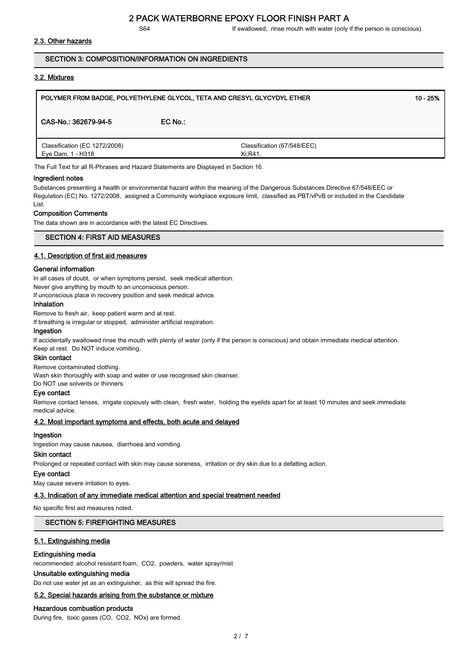S64 **If swallowed, rinse mouth with water (only if the person is conscious).** 

# 2.3. Other hazards

# SECTION 3: COMPOSITION/INFORMATION ON INGREDIENTS

# 3.2. Mixtures

| POLYMER FR0M BADGE, POLYETHYLENE GLYCOL, TETA AND CRESYL GLYCYDYL ETHER<br>$10 - 25%$ |           |                             |  |  |
|---------------------------------------------------------------------------------------|-----------|-----------------------------|--|--|
| CAS-No.: 362679-94-5                                                                  | $EC$ No.: |                             |  |  |
| Classification (EC 1272/2008)<br>Eye Dam. 1 - H318                                    | Xi:R41.   | Classification (67/548/EEC) |  |  |

The Full Text for all R-Phrases and Hazard Statements are Displayed in Section 16.

#### Ingredient notes

Substances presenting a health or environmental hazard within the meaning of the Dangerous Substances Directive 67/548/EEC or Regulation (EC) No. 1272/2008, assigned a Community workplace exposure limit, classified as PBT/vPvB or included in the Candidate List.

## Composition Comments

The data shown are in accordance with the latest EC Directives.

# SECTION 4: FIRST AID MEASURES

## 4.1. Description of first aid measures

#### General information

In all cases of doubt, or when symptoms persist, seek medical attention. Never give anything by mouth to an unconscious person.

If unconscious place in recovery position and seek medical advice.

# Inhalation

Remove to fresh air, keep patient warm and at rest.

If breathing is irregular or stopped, administer artificial respiration.

#### Ingestion

If accidentally swallowed rinse the mouth with plenty of water (only if the person is conscious) and obtain immediate medical attention. Keep at rest. Do NOT induce vomiting.

#### Skin contact

Remove contaminated clothing.

Wash skin thoroughly with soap and water or use recognised skin cleanser.

Do NOT use solvents or thinners.

# Eye contact

Remove contact lenses, irrigate copiously with clean, fresh water, holding the eyelids apart for at least 10 minutes and seek immediate medical advice.

## 4.2. Most important symptoms and effects, both acute and delayed

## Ingestion

Ingestion may cause nausea, diarrhoea and vomiting.

# Skin contact

Prolonged or repeated contact with skin may cause soreness, irritation or dry skin due to a defatting action.

#### Eye contact

May cause severe irritation to eyes.

#### 4.3. Indication of any immediate medical attention and special treatment needed

No specific first aid measures noted.

# SECTION 5: FIREFIGHTING MEASURES

#### 5.1. Extinguishing media

#### Extinguishing media

recommended: alcohol resistant foam, CO2, powders, water spray/mist

# Unsuitable extinguishing media

Do not use water jet as an extinguisher, as this will spread the fire.

# 5.2. Special hazards arising from the substance or mixture

# Hazardous combustion products

During fire, toxic gases (CO, CO2, NOx) are formed.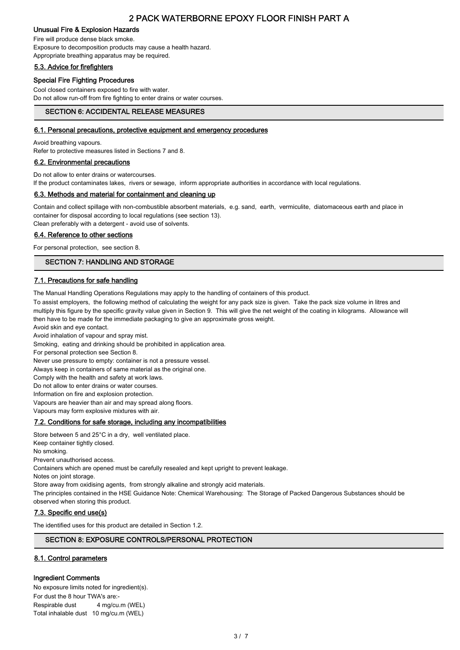# Unusual Fire & Explosion Hazards

Fire will produce dense black smoke. Exposure to decomposition products may cause a health hazard. Appropriate breathing apparatus may be required.

# 5.3. Advice for firefighters

# Special Fire Fighting Procedures

Cool closed containers exposed to fire with water. Do not allow run-off from fire fighting to enter drains or water courses.

# SECTION 6: ACCIDENTAL RELEASE MEASURES

# 6.1. Personal precautions, protective equipment and emergency procedures

Avoid breathing vapours.

Refer to protective measures listed in Sections 7 and 8.

# 6.2. Environmental precautions

Do not allow to enter drains or watercourses.

If the product contaminates lakes, rivers or sewage, inform appropriate authorities in accordance with local regulations.

# 6.3. Methods and material for containment and cleaning up

Contain and collect spillage with non-combustible absorbent materials, e.g. sand, earth, vermiculite, diatomaceous earth and place in container for disposal according to local regulations (see section 13). Clean preferably with a detergent - avoid use of solvents.

# 6.4. Reference to other sections

For personal protection, see section 8.

# SECTION 7: HANDLING AND STORAGE

# 7.1. Precautions for safe handling

The Manual Handling Operations Regulations may apply to the handling of containers of this product.

To assist employers, the following method of calculating the weight for any pack size is given. Take the pack size volume in litres and multiply this figure by the specific gravity value given in Section 9. This will give the net weight of the coating in kilograms. Allowance will then have to be made for the immediate packaging to give an approximate gross weight.

Avoid skin and eye contact.

Avoid inhalation of vapour and spray mist.

Smoking, eating and drinking should be prohibited in application area.

For personal protection see Section 8.

Never use pressure to empty: container is not a pressure vessel.

Always keep in containers of same material as the original one.

Comply with the health and safety at work laws.

Do not allow to enter drains or water courses.

Information on fire and explosion protection.

Vapours are heavier than air and may spread along floors.

Vapours may form explosive mixtures with air.

## 7.2. Conditions for safe storage, including any incompatibilities

Store between 5 and 25°C in a dry, well ventilated place. Keep container tightly closed.

No smoking.

Prevent unauthorised access.

Containers which are opened must be carefully resealed and kept upright to prevent leakage.

Notes on joint storage.

Store away from oxidising agents, from strongly alkaline and strongly acid materials.

The principles contained in the HSE Guidance Note: Chemical Warehousing: The Storage of Packed Dangerous Substances should be observed when storing this product.

## 7.3. Specific end use(s)

The identified uses for this product are detailed in Section 1.2.

# SECTION 8: EXPOSURE CONTROLS/PERSONAL PROTECTION

# 8.1. Control parameters

# Ingredient Comments

No exposure limits noted for ingredient(s). For dust the 8 hour TWA's are:- Respirable dust 4 mg/cu.m (WEL) Total inhalable dust 10 mg/cu.m (WEL)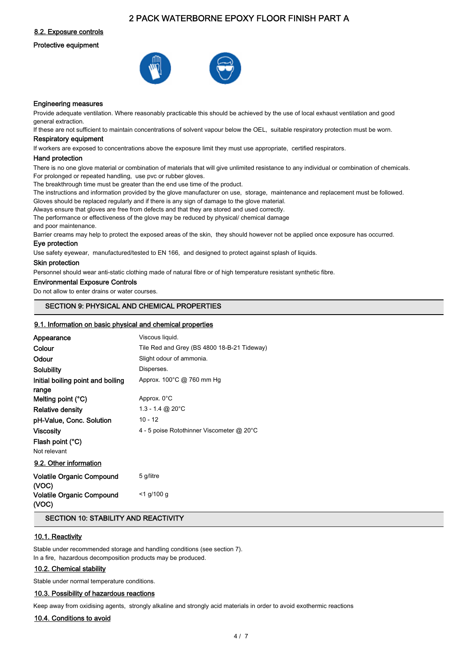8.2. Exposure controls

#### Protective equipment





#### Engineering measures

Provide adequate ventilation. Where reasonably practicable this should be achieved by the use of local exhaust ventilation and good general extraction.

If these are not sufficient to maintain concentrations of solvent vapour below the OEL, suitable respiratory protection must be worn. Respiratory equipment

If workers are exposed to concentrations above the exposure limit they must use appropriate, certified respirators.

#### Hand protection

There is no one glove material or combination of materials that will give unlimited resistance to any individual or combination of chemicals. For prolonged or repeated handling, use pvc or rubber gloves.

The breakthrough time must be greater than the end use time of the product.

The instructions and information provided by the glove manufacturer on use, storage, maintenance and replacement must be followed. Gloves should be replaced regularly and if there is any sign of damage to the glove material.

Always ensure that gloves are free from defects and that they are stored and used correctly.

The performance or effectiveness of the glove may be reduced by physical/ chemical damage

and poor maintenance.

Barrier creams may help to protect the exposed areas of the skin, they should however not be applied once exposure has occurred.

# Eye protection

Use safety eyewear, manufactured/tested to EN 166, and designed to protect against splash of liquids.

#### Skin protection

Personnel should wear anti-static clothing made of natural fibre or of high temperature resistant synthetic fibre.

### Environmental Exposure Controls

Do not allow to enter drains or water courses.

# SECTION 9: PHYSICAL AND CHEMICAL PROPERTIES

# 9.1. Information on basic physical and chemical properties

| Appearance                                | Viscous liquid.                             |
|-------------------------------------------|---------------------------------------------|
| Colour                                    | Tile Red and Grey (BS 4800 18-B-21 Tideway) |
| Odour                                     | Slight odour of ammonia.                    |
| Solubility                                | Disperses.                                  |
| Initial boiling point and boiling         | Approx. 100°C @ 760 mm Hg                   |
| range                                     |                                             |
| Melting point $(^{\circ}C)$               | Approx. 0°C                                 |
| <b>Relative density</b>                   | 1.3 - 1.4 @ 20 $^{\circ}$ C                 |
| pH-Value, Conc. Solution                  | $10 - 12$                                   |
| <b>Viscosity</b>                          | 4 - 5 poise Rotothinner Viscometer @ 20°C   |
| Flash point (°C)                          |                                             |
| Not relevant                              |                                             |
| 9.2. Other information                    |                                             |
| <b>Volatile Organic Compound</b><br>(VOC) | 5 g/litre                                   |

#### Volatile Organic Compound (VOC) <1 g/100 g

# SECTION 10: STABILITY AND REACTIVITY

# 10.1. Reactivity

Stable under recommended storage and handling conditions (see section 7). In a fire, hazardous decomposition products may be produced.

## 10.2. Chemical stability

Stable under normal temperature conditions.

#### 10.3. Possibility of hazardous reactions

Keep away from oxidising agents, strongly alkaline and strongly acid materials in order to avoid exothermic reactions

## 10.4. Conditions to avoid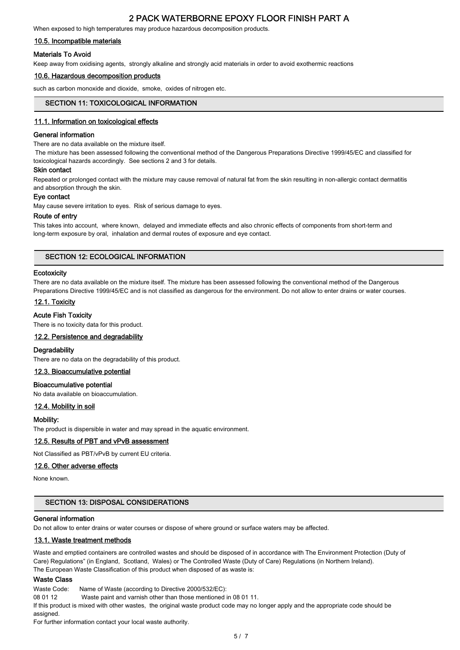When exposed to high temperatures may produce hazardous decomposition products.

#### 10.5. Incompatible materials

#### Materials To Avoid

Keep away from oxidising agents, strongly alkaline and strongly acid materials in order to avoid exothermic reactions

#### 10.6. Hazardous decomposition products

such as carbon monoxide and dioxide, smoke, oxides of nitrogen etc.

## SECTION 11: TOXICOLOGICAL INFORMATION

#### 11.1. Information on toxicological effects

#### General information

There are no data available on the mixture itself.

 The mixture has been assessed following the conventional method of the Dangerous Preparations Directive 1999/45/EC and classified for toxicological hazards accordingly. See sections 2 and 3 for details.

#### Skin contact

Repeated or prolonged contact with the mixture may cause removal of natural fat from the skin resulting in non-allergic contact dermatitis and absorption through the skin.

#### Eye contact

May cause severe irritation to eyes. Risk of serious damage to eyes.

#### Route of entry

This takes into account, where known, delayed and immediate effects and also chronic effects of components from short-term and long-term exposure by oral, inhalation and dermal routes of exposure and eye contact.

# SECTION 12: ECOLOGICAL INFORMATION

#### **Ecotoxicity**

There are no data available on the mixture itself. The mixture has been assessed following the conventional method of the Dangerous Preparations Directive 1999/45/EC and is not classified as dangerous for the environment. Do not allow to enter drains or water courses.

#### 12.1. Toxicity

#### Acute Fish Toxicity

There is no toxicity data for this product.

#### 12.2. Persistence and degradability

#### **Degradability**

There are no data on the degradability of this product.

#### 12.3. Bioaccumulative potential

#### Bioaccumulative potential

No data available on bioaccumulation.

#### 12.4. Mobility in soil

#### Mobility:

The product is dispersible in water and may spread in the aquatic environment.

#### 12.5. Results of PBT and vPvB assessment

Not Classified as PBT/vPvB by current EU criteria.

#### 12.6. Other adverse effects

None known.

## SECTION 13: DISPOSAL CONSIDERATIONS

#### General information

Do not allow to enter drains or water courses or dispose of where ground or surface waters may be affected.

#### 13.1. Waste treatment methods

Waste and emptied containers are controlled wastes and should be disposed of in accordance with The Environment Protection (Duty of Care) Regulations" (in England, Scotland, Wales) or The Controlled Waste (Duty of Care) Regulations (in Northern Ireland). The European Waste Classification of this product when disposed of as waste is:

# Waste Class

Waste Code: Name of Waste (according to Directive 2000/532/EC):

08 01 12 Waste paint and varnish other than those mentioned in 08 01 11.

If this product is mixed with other wastes, the original waste product code may no longer apply and the appropriate code should be assigned.

For further information contact your local waste authority.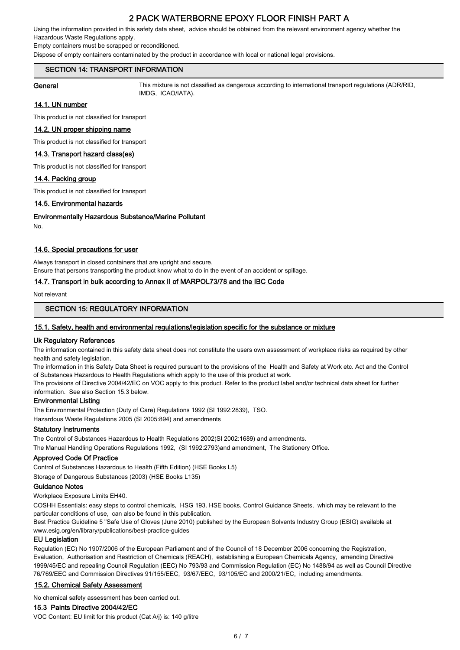Using the information provided in this safety data sheet, advice should be obtained from the relevant environment agency whether the Hazardous Waste Regulations apply.

Empty containers must be scrapped or reconditioned.

Dispose of empty containers contaminated by the product in accordance with local or national legal provisions.

# SECTION 14: TRANSPORT INFORMATION

General This mixture is not classified as dangerous according to international transport regulations (ADR/RID, IMDG, ICAO/IATA).

# 14.1. UN number

This product is not classified for transport

# 14.2. UN proper shipping name

This product is not classified for transport

# 14.3. Transport hazard class(es)

This product is not classified for transport

## 14.4. Packing group

This product is not classified for transport

# 14.5. Environmental hazards

Environmentally Hazardous Substance/Marine Pollutant

No.

# 14.6. Special precautions for user

Always transport in closed containers that are upright and secure.

Ensure that persons transporting the product know what to do in the event of an accident or spillage.

# 14.7. Transport in bulk according to Annex II of MARPOL73/78 and the IBC Code

Not relevant

# SECTION 15: REGULATORY INFORMATION

# 15.1. Safety, health and environmental regulations/legislation specific for the substance or mixture

## Uk Regulatory References

The information contained in this safety data sheet does not constitute the users own assessment of workplace risks as required by other health and safety legislation.

The information in this Safety Data Sheet is required pursuant to the provisions of the Health and Safety at Work etc. Act and the Control of Substances Hazardous to Health Regulations which apply to the use of this product at work.

The provisions of Directive 2004/42/EC on VOC apply to this product. Refer to the product label and/or technical data sheet for further information. See also Section 15.3 below.

# Environmental Listing

The Environmental Protection (Duty of Care) Regulations 1992 (SI 1992:2839), TSO.

Hazardous Waste Regulations 2005 (SI 2005:894) and amendments

# Statutory Instruments

The Control of Substances Hazardous to Health Regulations 2002(SI 2002:1689) and amendments.

The Manual Handling Operations Regulations 1992, (SI 1992:2793)and amendment, The Stationery Office.

# Approved Code Of Practice

Control of Substances Hazardous to Health (Fifth Edition) (HSE Books L5)

Storage of Dangerous Substances (2003) (HSE Books L135)

# Guidance Notes

Workplace Exposure Limits EH40.

COSHH Essentials: easy steps to control chemicals, HSG 193. HSE books. Control Guidance Sheets, which may be relevant to the particular conditions of use, can also be found in this publication.

Best Practice Guideline 5 "Safe Use of Gloves (June 2010) published by the European Solvents Industry Group (ESIG) available at www.esig.org/en/library/publications/best-practice-guides

# EU Legislation

Regulation (EC) No 1907/2006 of the European Parliament and of the Council of 18 December 2006 concerning the Registration, Evaluation, Authorisation and Restriction of Chemicals (REACH), establishing a European Chemicals Agency, amending Directive 1999/45/EC and repealing Council Regulation (EEC) No 793/93 and Commission Regulation (EC) No 1488/94 as well as Council Directive 76/769/EEC and Commission Directives 91/155/EEC, 93/67/EEC, 93/105/EC and 2000/21/EC, including amendments.

## 15.2. Chemical Safety Assessment

No chemical safety assessment has been carried out.

# 15.3 Paints Directive 2004/42/EC

VOC Content: EU limit for this product (Cat A/j) is: 140 g/litre